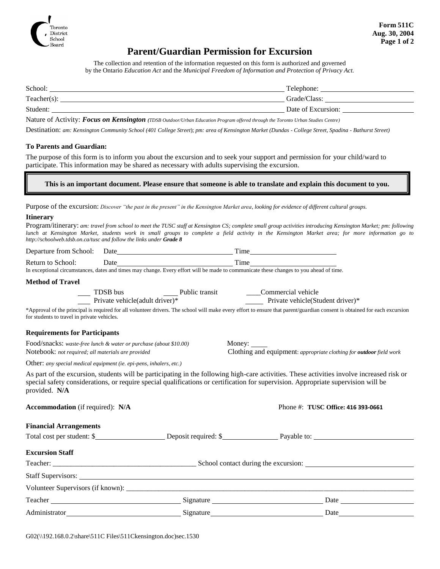

### **Parent/Guardian Permission for Excursion**

The collection and retention of the information requested on this form is authorized and governed by the Ontario *Education Act* and the *Municipal Freedom of Information and Protection of Privacy Act.*

| School:        | Telephone:         |
|----------------|--------------------|
| $Teacher(s)$ : | Grade/Class:       |
| Student:       | Date of Excursion: |
| $ -$<br>$ -$   |                    |

Nature of Activity: *Focus on Kensington (TDSB Outdoor/Urban Education Program offered through the Toronto Urban Studies Centre)*

Destination: *am: Kensington Community School (401 College Street*); *pm: area of Kensington Market (Dundas - College Street, Spadina - Bathurst Street)*

#### **To Parents and Guardian:**

The purpose of this form is to inform you about the excursion and to seek your support and permission for your child/ward to participate. This information may be shared as necessary with adults supervising the excursion.

#### **This is an important document. Please ensure that someone is able to translate and explain this document to you.**

Program/itinerary: *am: travel from school to meet the TUSC staff at Kensington CS; complete small group activities introducing Kensington Market; pm: following* 

Purpose of the excursion: *Discover "the past in the present" in the Kensington Market area, looking for evidence of different cultural groups.*

#### **Itinerary**

| http://schoolweb.tdsb.on.ca/tusc and follow the links under Grade 8                                                     |  |  |                                                                                                                                                          | lunch at Kensington Market, students work in small groups to complete a field activity in the Kensington Market area; for more information go to                          |  |
|-------------------------------------------------------------------------------------------------------------------------|--|--|----------------------------------------------------------------------------------------------------------------------------------------------------------|---------------------------------------------------------------------------------------------------------------------------------------------------------------------------|--|
|                                                                                                                         |  |  |                                                                                                                                                          |                                                                                                                                                                           |  |
| Return to School:                                                                                                       |  |  | Date Time Time<br>In exceptional circumstances, dates and times may change. Every effort will be made to communicate these changes to you ahead of time. |                                                                                                                                                                           |  |
| <b>Method of Travel</b>                                                                                                 |  |  |                                                                                                                                                          |                                                                                                                                                                           |  |
|                                                                                                                         |  |  | TDSB bus Public transit<br>Public transit<br>Commercial vehicle<br>Private vehicle(Student driver)*                                                      |                                                                                                                                                                           |  |
| for students to travel in private vehicles.                                                                             |  |  |                                                                                                                                                          | *Approval of the principal is required for all volunteer drivers. The school will make every effort to ensure that parent/guardian consent is obtained for each excursion |  |
| <b>Requirements for Participants</b>                                                                                    |  |  |                                                                                                                                                          |                                                                                                                                                                           |  |
| Food/snacks: waste-free lunch & water or purchase (about \$10.00)<br>Notebook: not required; all materials are provided |  |  | Money:<br>Clothing and equipment: appropriate clothing for <b>outdoor</b> field work                                                                     |                                                                                                                                                                           |  |
| Other: any special medical equipment (ie. epi-pens, inhalers, etc.)                                                     |  |  |                                                                                                                                                          |                                                                                                                                                                           |  |
| provided. N/A                                                                                                           |  |  | special safety considerations, or require special qualifications or certification for supervision. Appropriate supervision will be                       | As part of the excursion, students will be participating in the following high-care activities. These activities involve increased risk or                                |  |
| Accommodation (if required): N/A                                                                                        |  |  |                                                                                                                                                          | Phone #: TUSC Office: 416 393-0661                                                                                                                                        |  |
| <b>Financial Arrangements</b>                                                                                           |  |  |                                                                                                                                                          |                                                                                                                                                                           |  |
|                                                                                                                         |  |  |                                                                                                                                                          |                                                                                                                                                                           |  |
| <b>Excursion Staff</b>                                                                                                  |  |  |                                                                                                                                                          |                                                                                                                                                                           |  |
|                                                                                                                         |  |  |                                                                                                                                                          |                                                                                                                                                                           |  |
|                                                                                                                         |  |  |                                                                                                                                                          |                                                                                                                                                                           |  |
|                                                                                                                         |  |  |                                                                                                                                                          |                                                                                                                                                                           |  |
|                                                                                                                         |  |  |                                                                                                                                                          |                                                                                                                                                                           |  |
|                                                                                                                         |  |  |                                                                                                                                                          |                                                                                                                                                                           |  |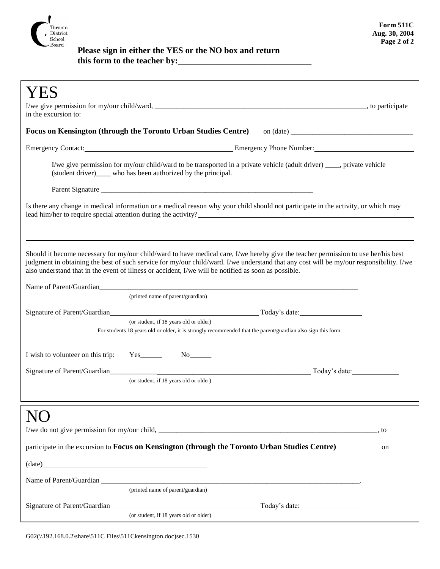

## **Please sign in either the YES or the NO box and return this form to the teacher by:\_\_\_\_\_\_\_\_\_\_\_\_\_\_\_\_\_\_\_\_\_\_\_\_\_\_\_\_\_\_\_**

| in the excursion to:                                                                                                                                                                                                                                                                                                                                                                  |    |  |  |  |
|---------------------------------------------------------------------------------------------------------------------------------------------------------------------------------------------------------------------------------------------------------------------------------------------------------------------------------------------------------------------------------------|----|--|--|--|
|                                                                                                                                                                                                                                                                                                                                                                                       |    |  |  |  |
| Emergency Contact: <u>Emergency Phone Number:</u> Emergency Phone Number:                                                                                                                                                                                                                                                                                                             |    |  |  |  |
| I/we give permission for my/our child/ward to be transported in a private vehicle (adult driver) ____, private vehicle<br>(student driver)_____ who has been authorized by the principal.                                                                                                                                                                                             |    |  |  |  |
|                                                                                                                                                                                                                                                                                                                                                                                       |    |  |  |  |
| Is there any change in medical information or a medical reason why your child should not participate in the activity, or which may                                                                                                                                                                                                                                                    |    |  |  |  |
|                                                                                                                                                                                                                                                                                                                                                                                       |    |  |  |  |
| Should it become necessary for my/our child/ward to have medical care, I/we hereby give the teacher permission to use her/his best<br>judgment in obtaining the best of such service for my/our child/ward. I/we understand that any cost will be my/our responsibility. I/we<br>also understand that in the event of illness or accident, I/we will be notified as soon as possible. |    |  |  |  |
| Name of Parent/Guardian                                                                                                                                                                                                                                                                                                                                                               |    |  |  |  |
| (printed name of parent/guardian)                                                                                                                                                                                                                                                                                                                                                     |    |  |  |  |
| (or student, if 18 years old or older)                                                                                                                                                                                                                                                                                                                                                |    |  |  |  |
| For students 18 years old or older, it is strongly recommended that the parent/guardian also sign this form.                                                                                                                                                                                                                                                                          |    |  |  |  |
| I wish to volunteer on this trip:<br>$Yes$ <sub>_________</sub>                                                                                                                                                                                                                                                                                                                       |    |  |  |  |
| Signature of Parent/Guardian<br>Today's date:                                                                                                                                                                                                                                                                                                                                         |    |  |  |  |
| (or student, if 18 years old or older)                                                                                                                                                                                                                                                                                                                                                |    |  |  |  |
|                                                                                                                                                                                                                                                                                                                                                                                       |    |  |  |  |
|                                                                                                                                                                                                                                                                                                                                                                                       |    |  |  |  |
|                                                                                                                                                                                                                                                                                                                                                                                       |    |  |  |  |
| participate in the excursion to Focus on Kensington (through the Toronto Urban Studies Centre)                                                                                                                                                                                                                                                                                        | on |  |  |  |
| $(data)$ $(date)$                                                                                                                                                                                                                                                                                                                                                                     |    |  |  |  |
|                                                                                                                                                                                                                                                                                                                                                                                       |    |  |  |  |
| (printed name of parent/guardian)                                                                                                                                                                                                                                                                                                                                                     |    |  |  |  |
|                                                                                                                                                                                                                                                                                                                                                                                       |    |  |  |  |
| (or student, if 18 years old or older)                                                                                                                                                                                                                                                                                                                                                |    |  |  |  |